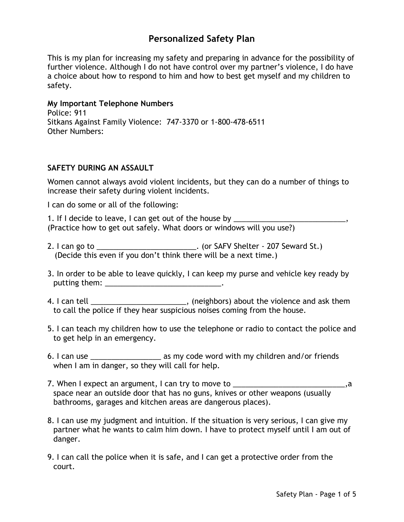# **Personalized Safety Plan**

This is my plan for increasing my safety and preparing in advance for the possibility of further violence. Although I do not have control over my partner's violence, I do have a choice about how to respond to him and how to best get myself and my children to safety.

### **My Important Telephone Numbers**

Police: 911 Sitkans Against Family Violence: 747-3370 or 1-800-478-6511 Other Numbers:

#### **SAFETY DURING AN ASSAULT**

Women cannot always avoid violent incidents, but they can do a number of things to increase their safety during violent incidents.

I can do some or all of the following:

1. If I decide to leave, I can get out of the house by \_\_\_\_\_\_\_\_\_\_\_\_\_\_\_\_\_\_\_\_\_\_\_\_\_ (Practice how to get out safely. What doors or windows will you use?)

- 2. I can go to \_\_\_\_\_\_\_\_\_\_\_\_\_\_\_\_\_\_\_\_\_\_\_\_\_\_\_\_. (or SAFV Shelter 207 Seward St.) (Decide this even if you don't think there will be a next time.)
- 3. In order to be able to leave quickly, I can keep my purse and vehicle key ready by putting them: \_\_\_\_\_\_\_\_\_\_\_\_\_\_\_\_\_\_\_\_\_\_\_\_\_\_\_\_.
- 4. I can tell \_\_\_\_\_\_\_\_\_\_\_\_\_\_\_\_\_\_\_\_\_\_\_\_\_, (neighbors) about the violence and ask them to call the police if they hear suspicious noises coming from the house.
- 5. I can teach my children how to use the telephone or radio to contact the police and to get help in an emergency.
- 6. I can use \_\_\_\_\_\_\_\_\_\_\_\_\_\_\_\_\_ as my code word with my children and/or friends when I am in danger, so they will call for help.
- 7. When I expect an argument, I can try to move to \_\_\_\_\_\_\_\_\_\_\_\_\_\_\_\_\_\_\_\_\_\_\_\_\_\_\_\_\_,a space near an outside door that has no guns, knives or other weapons (usually bathrooms, garages and kitchen areas are dangerous places).
- 8. I can use my judgment and intuition. If the situation is very serious, I can give my partner what he wants to calm him down. I have to protect myself until I am out of danger.
- 9. I can call the police when it is safe, and I can get a protective order from the court.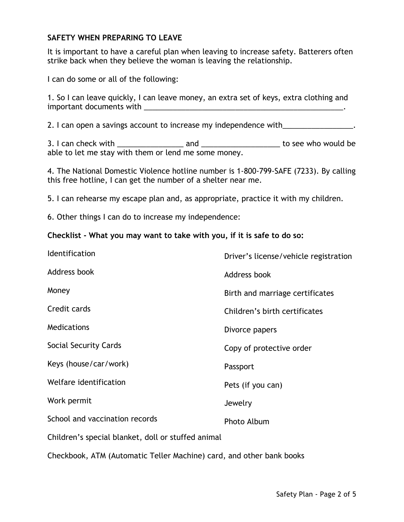## **SAFETY WHEN PREPARING TO LEAVE**

It is important to have a careful plan when leaving to increase safety. Batterers often strike back when they believe the woman is leaving the relationship.

I can do some or all of the following:

1. So I can leave quickly, I can leave money, an extra set of keys, extra clothing and important documents with \_\_\_\_\_\_\_\_\_\_\_\_\_\_\_\_\_\_\_\_\_\_\_\_\_\_\_\_\_\_\_\_\_\_\_\_\_\_\_\_\_\_\_\_\_\_\_\_.

2. I can open a savings account to increase my independence with \_\_\_\_\_\_\_\_\_\_\_\_\_\_\_\_.

3. I can check with \_\_\_\_\_\_\_\_\_\_\_\_\_\_\_\_ and \_\_\_\_\_\_\_\_\_\_\_\_\_\_\_\_\_\_\_ to see who would be able to let me stay with them or lend me some money.

4. The National Domestic Violence hotline number is 1-800-799-SAFE (7233). By calling this free hotline, I can get the number of a shelter near me.

5. I can rehearse my escape plan and, as appropriate, practice it with my children.

6. Other things I can do to increase my independence:

#### **Checklist - What you may want to take with you, if it is safe to do so:**

| Identification                                     | Driver's license/vehicle registration |
|----------------------------------------------------|---------------------------------------|
| Address book                                       | Address book                          |
| Money                                              | Birth and marriage certificates       |
| Credit cards                                       | Children's birth certificates         |
| Medications                                        | Divorce papers                        |
| Social Security Cards                              | Copy of protective order              |
| Keys (house/car/work)                              | Passport                              |
| Welfare identification                             | Pets (if you can)                     |
| Work permit                                        | Jewelry                               |
| School and vaccination records                     | Photo Album                           |
| Children's special blanket, doll or stuffed animal |                                       |

Checkbook, ATM (Automatic Teller Machine) card, and other bank books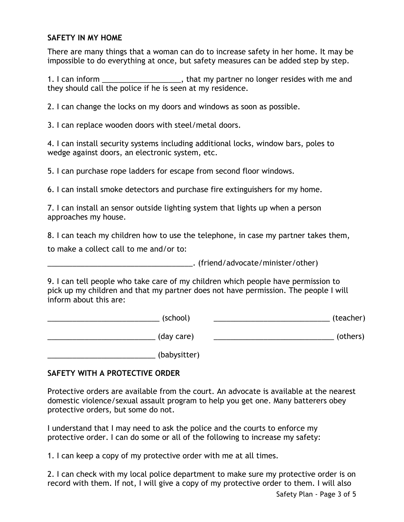## **SAFETY IN MY HOME**

There are many things that a woman can do to increase safety in her home. It may be impossible to do everything at once, but safety measures can be added step by step.

1. I can inform \_\_\_\_\_\_\_\_\_\_\_\_\_\_\_\_\_\_\_\_\_, that my partner no longer resides with me and they should call the police if he is seen at my residence.

2. I can change the locks on my doors and windows as soon as possible.

3. I can replace wooden doors with steel/metal doors.

4. I can install security systems including additional locks, window bars, poles to wedge against doors, an electronic system, etc.

5. I can purchase rope ladders for escape from second floor windows.

6. I can install smoke detectors and purchase fire extinguishers for my home.

7. I can install an sensor outside lighting system that lights up when a person approaches my house.

8. I can teach my children how to use the telephone, in case my partner takes them,

to make a collect call to me and/or to:

\_\_\_\_\_\_\_\_\_\_\_\_\_\_\_\_\_\_\_\_\_\_\_\_\_\_\_\_\_\_\_\_\_\_\_. (friend/advocate/minister/other)

9. I can tell people who take care of my children which people have permission to pick up my children and that my partner does not have permission. The people I will inform about this are:

\_\_\_\_\_\_\_\_\_\_\_\_\_\_\_\_\_\_\_\_\_\_\_\_\_\_\_ (school) \_\_\_\_\_\_\_\_\_\_\_\_\_\_\_\_\_\_\_\_\_\_\_\_\_\_\_\_ (teacher) \_\_\_\_\_\_\_\_\_\_\_\_\_\_\_\_\_\_\_\_\_\_\_\_\_\_ (day care) \_\_\_\_\_\_\_\_\_\_\_\_\_\_\_\_\_\_\_\_\_\_\_\_\_\_\_\_\_ (others)

\_\_\_\_\_\_\_\_\_\_\_\_\_\_\_\_\_\_\_\_\_\_\_\_\_\_ (babysitter)

# **SAFETY WITH A PROTECTIVE ORDER**

Protective orders are available from the court. An advocate is available at the nearest domestic violence/sexual assault program to help you get one. Many batterers obey protective orders, but some do not.

I understand that I may need to ask the police and the courts to enforce my protective order. I can do some or all of the following to increase my safety:

1. I can keep a copy of my protective order with me at all times.

2. I can check with my local police department to make sure my protective order is on record with them. If not, I will give a copy of my protective order to them. I will also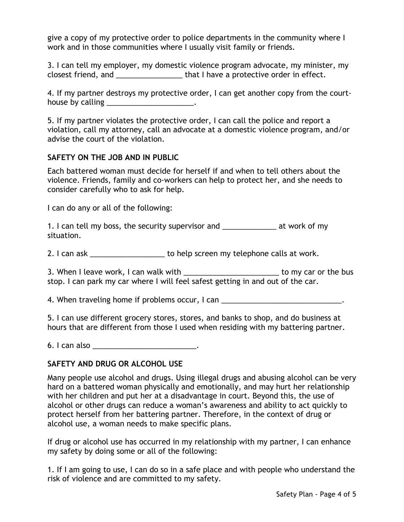give a copy of my protective order to police departments in the community where I work and in those communities where I usually visit family or friends.

3. I can tell my employer, my domestic violence program advocate, my minister, my closest friend, and \_\_\_\_\_\_\_\_\_\_\_\_\_\_\_\_ that I have a protective order in effect.

4. If my partner destroys my protective order, I can get another copy from the courthouse by calling **Example 20** 

5. If my partner violates the protective order, I can call the police and report a violation, call my attorney, call an advocate at a domestic violence program, and/or advise the court of the violation.

## **SAFETY ON THE JOB AND IN PUBLIC**

Each battered woman must decide for herself if and when to tell others about the violence. Friends, family and co-workers can help to protect her, and she needs to consider carefully who to ask for help.

I can do any or all of the following:

1. I can tell my boss, the security supervisor and Theorem at work of my situation.

2. I can ask \_\_\_\_\_\_\_\_\_\_\_\_\_\_\_\_\_\_\_\_\_ to help screen my telephone calls at work.

3. When I leave work, I can walk with  $\qquad \qquad$  to my car or the bus stop. I can park my car where I will feel safest getting in and out of the car.

4. When traveling home if problems occur, I can \_\_\_\_\_\_\_\_\_\_\_\_\_\_\_\_\_\_\_\_\_\_\_\_\_\_\_\_\_\_\_.

5. I can use different grocery stores, stores, and banks to shop, and do business at hours that are different from those I used when residing with my battering partner.

6. I can also \_\_\_\_\_\_\_\_\_\_\_\_\_\_\_\_\_\_\_\_\_\_\_\_\_\_\_.

# **SAFETY AND DRUG OR ALCOHOL USE**

Many people use alcohol and drugs. Using illegal drugs and abusing alcohol can be very hard on a battered woman physically and emotionally, and may hurt her relationship with her children and put her at a disadvantage in court. Beyond this, the use of alcohol or other drugs can reduce a woman's awareness and ability to act quickly to protect herself from her battering partner. Therefore, in the context of drug or alcohol use, a woman needs to make specific plans.

If drug or alcohol use has occurred in my relationship with my partner, I can enhance my safety by doing some or all of the following:

1. If I am going to use, I can do so in a safe place and with people who understand the risk of violence and are committed to my safety.